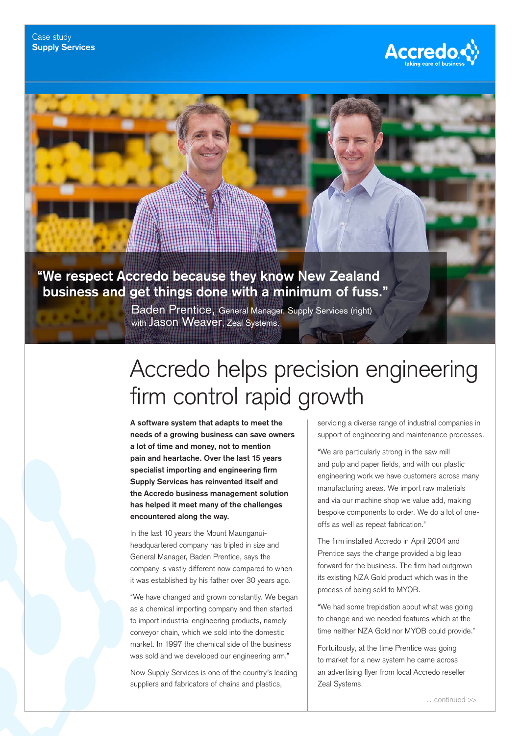

## **"We respect Accredo because they know New Zealand business and get things done with a minimum of fuss."**

Baden Prentice, General Manager, Supply Services (right) with **Jason Weaver**, Zeal Systems.

## Accredo helps precision engineering firm control rapid growth

**A software system that adapts to meet the needs of a growing business can save owners a lot of time and money, not to mention pain and heartache. Over the last 15 years specialist importing and engineering firm Supply Services has reinvented itself and the Accredo business management solution has helped it meet many of the challenges encountered along the way.**

In the last 10 years the Mount Maunganuiheadquartered company has tripled in size and General Manager, Baden Prentice, says the company is vastly different now compared to when it was established by his father over 30 years ago.

"We have changed and grown constantly. We began as a chemical importing company and then started to import industrial engineering products, namely conveyor chain, which we sold into the domestic market. In 1997 the chemical side of the business was sold and we developed our engineering arm."

Now Supply Services is one of the country's leading suppliers and fabricators of chains and plastics,

servicing a diverse range of industrial companies in support of engineering and maintenance processes.

"We are particularly strong in the saw mill and pulp and paper fields, and with our plastic engineering work we have customers across many manufacturing areas. We import raw materials and via our machine shop we value add, making bespoke components to order. We do a lot of oneoffs as well as repeat fabrication."

The firm installed Accredo in April 2004 and Prentice says the change provided a big leap forward for the business. The firm had outgrown its existing NZA Gold product which was in the process of being sold to MYOB.

"We had some trepidation about what was going to change and we needed features which at the time neither NZA Gold nor MYOB could provide."

Fortuitously, at the time Prentice was going to market for a new system he came across an advertising flyer from local Accredo reseller Zeal Systems.